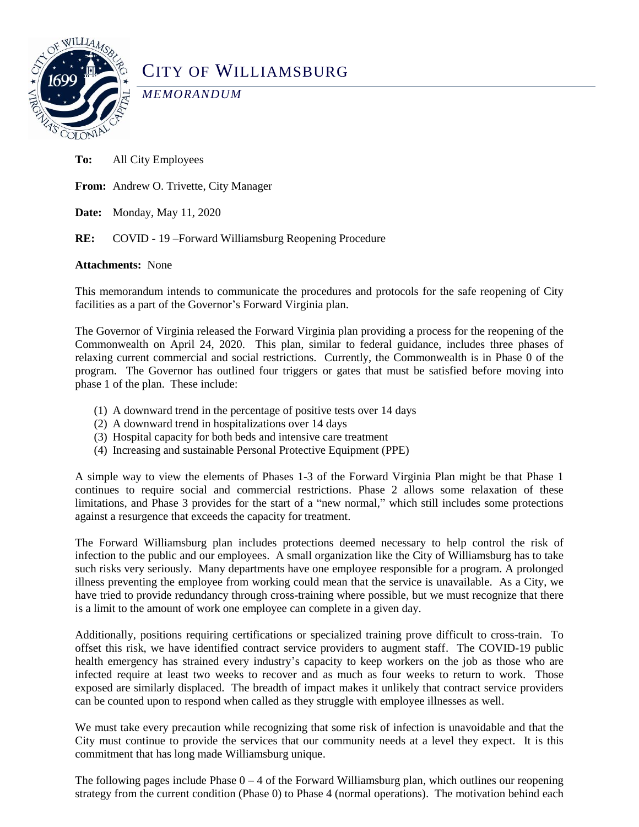

# CITY OF WILLIAMSBURG

*MEMORANDUM*

**To:** All City Employees

**From:** Andrew O. Trivette, City Manager

**Date:** Monday, May 11, 2020

**RE:** COVID - 19 –Forward Williamsburg Reopening Procedure

# **Attachments:** None

This memorandum intends to communicate the procedures and protocols for the safe reopening of City facilities as a part of the Governor's Forward Virginia plan.

The Governor of Virginia released the Forward Virginia plan providing a process for the reopening of the Commonwealth on April 24, 2020. This plan, similar to federal guidance, includes three phases of relaxing current commercial and social restrictions. Currently, the Commonwealth is in Phase 0 of the program. The Governor has outlined four triggers or gates that must be satisfied before moving into phase 1 of the plan. These include:

- (1) A downward trend in the percentage of positive tests over 14 days
- (2) A downward trend in hospitalizations over 14 days
- (3) Hospital capacity for both beds and intensive care treatment
- (4) Increasing and sustainable Personal Protective Equipment (PPE)

A simple way to view the elements of Phases 1-3 of the Forward Virginia Plan might be that Phase 1 continues to require social and commercial restrictions. Phase 2 allows some relaxation of these limitations, and Phase 3 provides for the start of a "new normal," which still includes some protections against a resurgence that exceeds the capacity for treatment.

The Forward Williamsburg plan includes protections deemed necessary to help control the risk of infection to the public and our employees. A small organization like the City of Williamsburg has to take such risks very seriously. Many departments have one employee responsible for a program. A prolonged illness preventing the employee from working could mean that the service is unavailable. As a City, we have tried to provide redundancy through cross-training where possible, but we must recognize that there is a limit to the amount of work one employee can complete in a given day.

Additionally, positions requiring certifications or specialized training prove difficult to cross-train. To offset this risk, we have identified contract service providers to augment staff. The COVID-19 public health emergency has strained every industry's capacity to keep workers on the job as those who are infected require at least two weeks to recover and as much as four weeks to return to work. Those exposed are similarly displaced. The breadth of impact makes it unlikely that contract service providers can be counted upon to respond when called as they struggle with employee illnesses as well.

We must take every precaution while recognizing that some risk of infection is unavoidable and that the City must continue to provide the services that our community needs at a level they expect. It is this commitment that has long made Williamsburg unique.

The following pages include Phase  $0 - 4$  of the Forward Williamsburg plan, which outlines our reopening strategy from the current condition (Phase 0) to Phase 4 (normal operations). The motivation behind each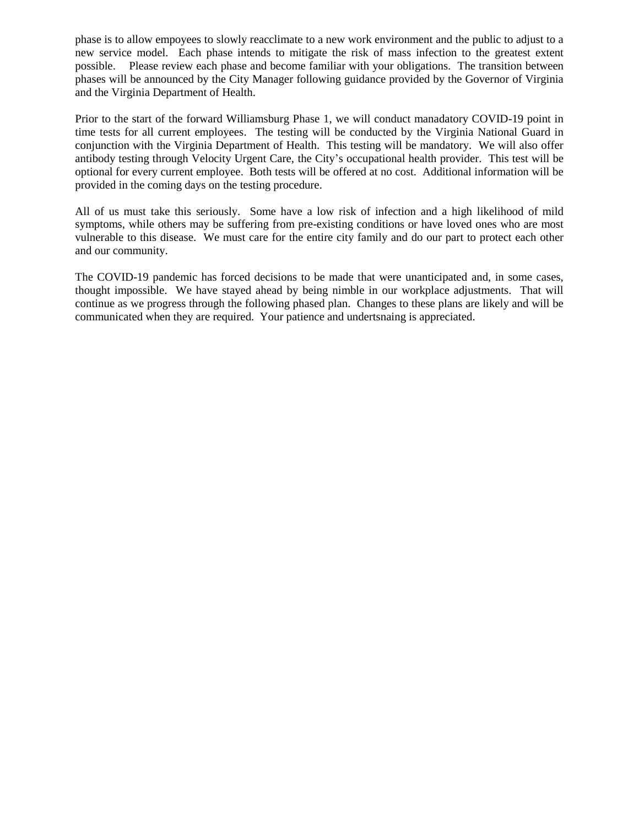phase is to allow empoyees to slowly reacclimate to a new work environment and the public to adjust to a new service model. Each phase intends to mitigate the risk of mass infection to the greatest extent possible. Please review each phase and become familiar with your obligations. The transition between phases will be announced by the City Manager following guidance provided by the Governor of Virginia and the Virginia Department of Health.

Prior to the start of the forward Williamsburg Phase 1, we will conduct manadatory COVID-19 point in time tests for all current employees. The testing will be conducted by the Virginia National Guard in conjunction with the Virginia Department of Health. This testing will be mandatory. We will also offer antibody testing through Velocity Urgent Care, the City's occupational health provider. This test will be optional for every current employee. Both tests will be offered at no cost. Additional information will be provided in the coming days on the testing procedure.

All of us must take this seriously. Some have a low risk of infection and a high likelihood of mild symptoms, while others may be suffering from pre-existing conditions or have loved ones who are most vulnerable to this disease. We must care for the entire city family and do our part to protect each other and our community.

The COVID-19 pandemic has forced decisions to be made that were unanticipated and, in some cases, thought impossible. We have stayed ahead by being nimble in our workplace adjustments. That will continue as we progress through the following phased plan. Changes to these plans are likely and will be communicated when they are required. Your patience and undertsnaing is appreciated.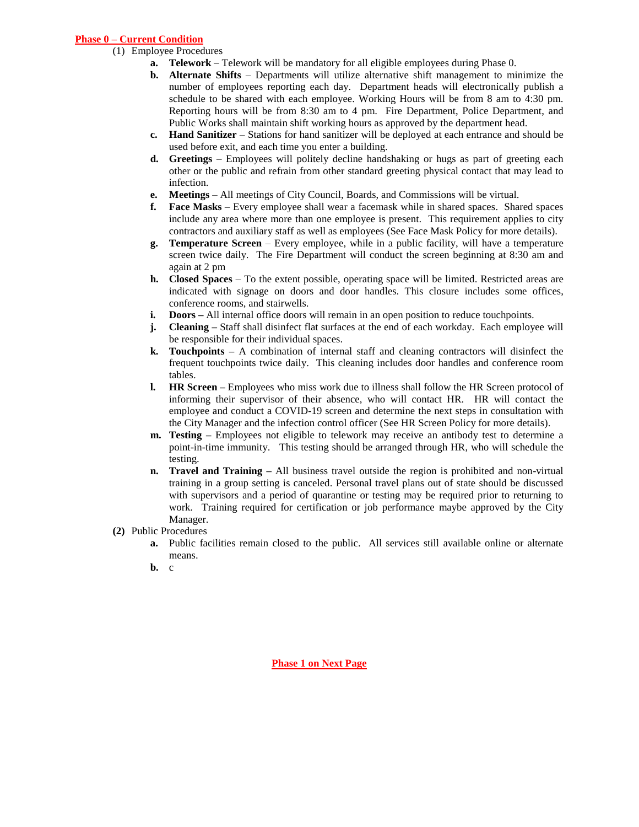# **Phase 0 – Current Condition**

- (1) Employee Procedures
	- **a. Telework** Telework will be mandatory for all eligible employees during Phase 0.
	- **b. Alternate Shifts**  Departments will utilize alternative shift management to minimize the number of employees reporting each day. Department heads will electronically publish a schedule to be shared with each employee. Working Hours will be from 8 am to 4:30 pm. Reporting hours will be from 8:30 am to 4 pm. Fire Department, Police Department, and Public Works shall maintain shift working hours as approved by the department head.
	- **c. Hand Sanitizer** Stations for hand sanitizer will be deployed at each entrance and should be used before exit, and each time you enter a building.
	- **d. Greetings**  Employees will politely decline handshaking or hugs as part of greeting each other or the public and refrain from other standard greeting physical contact that may lead to infection.
	- **e. Meetings**  All meetings of City Council, Boards, and Commissions will be virtual.
	- **f. Face Masks** Every employee shall wear a facemask while in shared spaces. Shared spaces include any area where more than one employee is present. This requirement applies to city contractors and auxiliary staff as well as employees (See Face Mask Policy for more details).
	- **g. Temperature Screen** Every employee, while in a public facility, will have a temperature screen twice daily. The Fire Department will conduct the screen beginning at 8:30 am and again at 2 pm
	- **h. Closed Spaces**  To the extent possible, operating space will be limited. Restricted areas are indicated with signage on doors and door handles. This closure includes some offices, conference rooms, and stairwells.
	- **i. Doors** All internal office doors will remain in an open position to reduce touchpoints.
	- **j. Cleaning** Staff shall disinfect flat surfaces at the end of each workday. Each employee will be responsible for their individual spaces.
	- **k. Touchpoints –** A combination of internal staff and cleaning contractors will disinfect the frequent touchpoints twice daily. This cleaning includes door handles and conference room tables.
	- **l. HR Screen –** Employees who miss work due to illness shall follow the HR Screen protocol of informing their supervisor of their absence, who will contact HR. HR will contact the employee and conduct a COVID-19 screen and determine the next steps in consultation with the City Manager and the infection control officer (See HR Screen Policy for more details).
	- **m. Testing** Employees not eligible to telework may receive an antibody test to determine a point-in-time immunity. This testing should be arranged through HR, who will schedule the testing.
	- **n. Travel and Training –** All business travel outside the region is prohibited and non-virtual training in a group setting is canceled. Personal travel plans out of state should be discussed with supervisors and a period of quarantine or testing may be required prior to returning to work. Training required for certification or job performance maybe approved by the City Manager.
- **(2)** Public Procedures
	- **a.** Public facilities remain closed to the public. All services still available online or alternate means.
	- **b.** c

**Phase 1 on Next Page**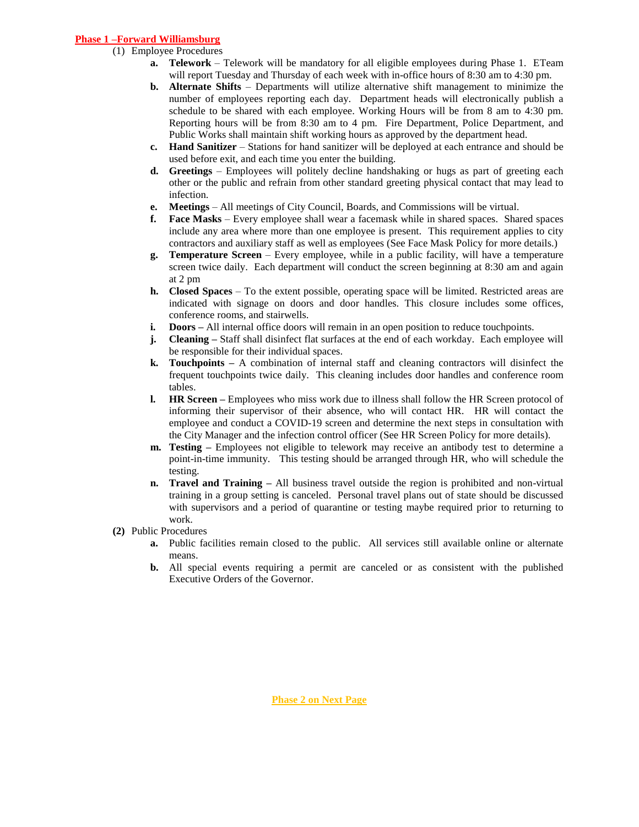# **Phase 1 –Forward Williamsburg**

#### (1) Employee Procedures

- **a. Telework** Telework will be mandatory for all eligible employees during Phase 1. ETeam will report Tuesday and Thursday of each week with in-office hours of 8:30 am to 4:30 pm.
- **b. Alternate Shifts** Departments will utilize alternative shift management to minimize the number of employees reporting each day. Department heads will electronically publish a schedule to be shared with each employee. Working Hours will be from 8 am to 4:30 pm. Reporting hours will be from 8:30 am to 4 pm. Fire Department, Police Department, and Public Works shall maintain shift working hours as approved by the department head.
- **c. Hand Sanitizer** Stations for hand sanitizer will be deployed at each entrance and should be used before exit, and each time you enter the building.
- **d. Greetings**  Employees will politely decline handshaking or hugs as part of greeting each other or the public and refrain from other standard greeting physical contact that may lead to infection.
- **e. Meetings**  All meetings of City Council, Boards, and Commissions will be virtual.
- **f. Face Masks** Every employee shall wear a facemask while in shared spaces. Shared spaces include any area where more than one employee is present. This requirement applies to city contractors and auxiliary staff as well as employees (See Face Mask Policy for more details.)
- **g. Temperature Screen** Every employee, while in a public facility, will have a temperature screen twice daily. Each department will conduct the screen beginning at 8:30 am and again at 2 pm
- **h. Closed Spaces**  To the extent possible, operating space will be limited. Restricted areas are indicated with signage on doors and door handles. This closure includes some offices, conference rooms, and stairwells.
- **i. Doors** All internal office doors will remain in an open position to reduce touch points.
- **j. Cleaning –** Staff shall disinfect flat surfaces at the end of each workday. Each employee will be responsible for their individual spaces.
- **k. Touchpoints –** A combination of internal staff and cleaning contractors will disinfect the frequent touchpoints twice daily. This cleaning includes door handles and conference room tables.
- **l. HR Screen –** Employees who miss work due to illness shall follow the HR Screen protocol of informing their supervisor of their absence, who will contact HR. HR will contact the employee and conduct a COVID-19 screen and determine the next steps in consultation with the City Manager and the infection control officer (See HR Screen Policy for more details).
- **m. Testing** Employees not eligible to telework may receive an antibody test to determine a point-in-time immunity. This testing should be arranged through HR, who will schedule the testing.
- **n. Travel and Training –** All business travel outside the region is prohibited and non-virtual training in a group setting is canceled. Personal travel plans out of state should be discussed with supervisors and a period of quarantine or testing maybe required prior to returning to work.
- **(2)** Public Procedures
	- **a.** Public facilities remain closed to the public. All services still available online or alternate means.
	- **b.** All special events requiring a permit are canceled or as consistent with the published Executive Orders of the Governor.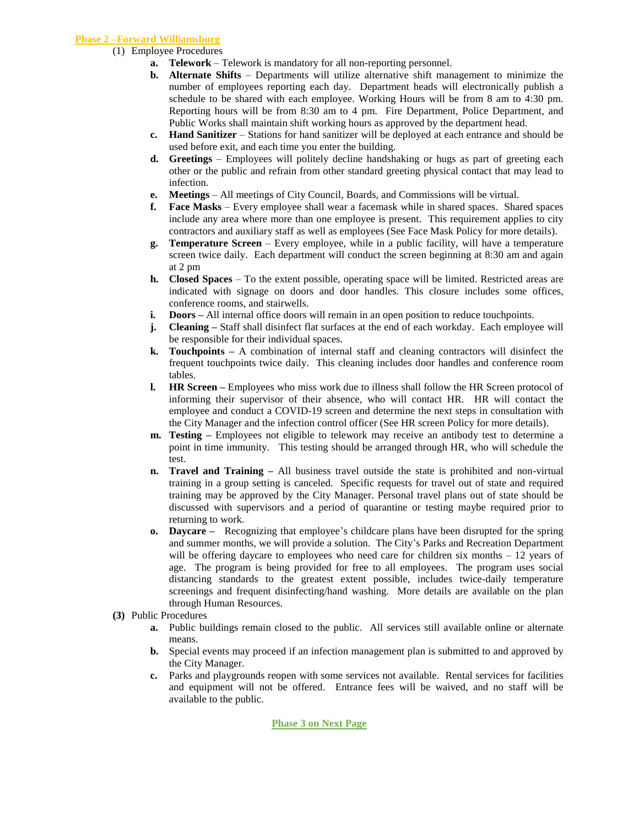### **Phase 2 –Forward Williamsburg**

- (1) Employee Procedures
	- **a. Telework** Telework is mandatory for all non-reporting personnel.
	- **b. Alternate Shifts**  Departments will utilize alternative shift management to minimize the number of employees reporting each day. Department heads will electronically publish a schedule to be shared with each employee. Working Hours will be from 8 am to 4:30 pm. Reporting hours will be from 8:30 am to 4 pm. Fire Department, Police Department, and Public Works shall maintain shift working hours as approved by the department head.
	- **c. Hand Sanitizer** Stations for hand sanitizer will be deployed at each entrance and should be used before exit, and each time you enter the building.
	- **d. Greetings**  Employees will politely decline handshaking or hugs as part of greeting each other or the public and refrain from other standard greeting physical contact that may lead to infection.
	- **e. Meetings**  All meetings of City Council, Boards, and Commissions will be virtual.
	- **f. Face Masks** Every employee shall wear a facemask while in shared spaces. Shared spaces include any area where more than one employee is present. This requirement applies to city contractors and auxiliary staff as well as employees (See Face Mask Policy for more details).
	- **g. Temperature Screen** Every employee, while in a public facility, will have a temperature screen twice daily. Each department will conduct the screen beginning at 8:30 am and again at 2 pm
	- **h. Closed Spaces**  To the extent possible, operating space will be limited. Restricted areas are indicated with signage on doors and door handles. This closure includes some offices, conference rooms, and stairwells.
	- **i. Doors** All internal office doors will remain in an open position to reduce touchpoints.
	- **j. Cleaning** Staff shall disinfect flat surfaces at the end of each workday. Each employee will be responsible for their individual spaces.
	- **k. Touchpoints –** A combination of internal staff and cleaning contractors will disinfect the frequent touchpoints twice daily. This cleaning includes door handles and conference room tables.
	- **l. HR Screen –** Employees who miss work due to illness shall follow the HR Screen protocol of informing their supervisor of their absence, who will contact HR. HR will contact the employee and conduct a COVID-19 screen and determine the next steps in consultation with the City Manager and the infection control officer (See HR screen Policy for more details).
	- **m. Testing** Employees not eligible to telework may receive an antibody test to determine a point in time immunity. This testing should be arranged through HR, who will schedule the test.
	- **n. Travel and Training –** All business travel outside the state is prohibited and non-virtual training in a group setting is canceled. Specific requests for travel out of state and required training may be approved by the City Manager. Personal travel plans out of state should be discussed with supervisors and a period of quarantine or testing maybe required prior to returning to work.
	- **o. Daycare** Recognizing that employee's childcare plans have been disrupted for the spring and summer months, we will provide a solution. The City's Parks and Recreation Department will be offering daycare to employees who need care for children six months – 12 years of age. The program is being provided for free to all employees. The program uses social distancing standards to the greatest extent possible, includes twice-daily temperature screenings and frequent disinfecting/hand washing. More details are available on the plan through Human Resources.
- **(3)** Public Procedures
	- **a.** Public buildings remain closed to the public. All services still available online or alternate means.
	- **b.** Special events may proceed if an infection management plan is submitted to and approved by the City Manager.
	- **c.** Parks and playgrounds reopen with some services not available. Rental services for facilities and equipment will not be offered. Entrance fees will be waived, and no staff will be available to the public.

**Phase 3 on Next Page**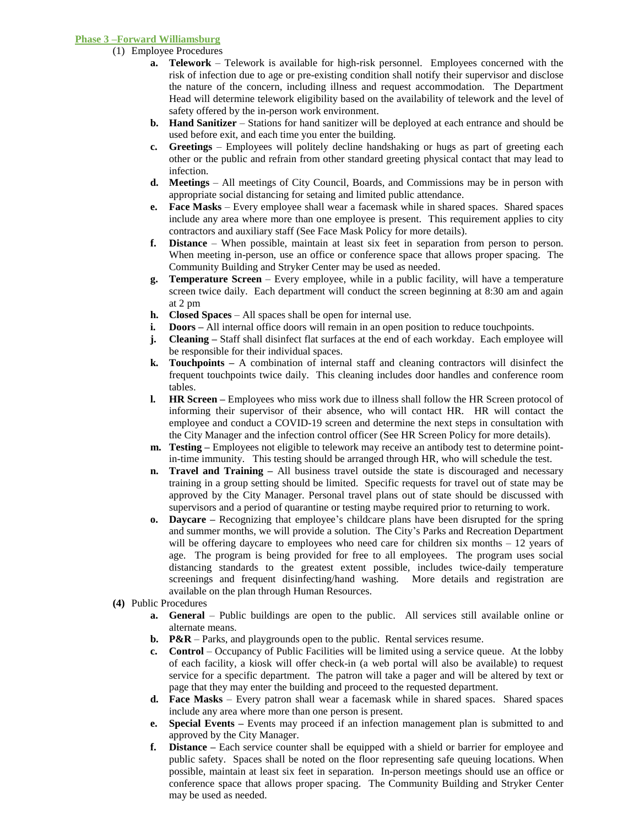#### **Phase 3 –Forward Williamsburg**

- (1) Employee Procedures
	- **a. Telework** Telework is available for high-risk personnel. Employees concerned with the risk of infection due to age or pre-existing condition shall notify their supervisor and disclose the nature of the concern, including illness and request accommodation. The Department Head will determine telework eligibility based on the availability of telework and the level of safety offered by the in-person work environment.
	- **b. Hand Sanitizer** Stations for hand sanitizer will be deployed at each entrance and should be used before exit, and each time you enter the building.
	- **c. Greetings**  Employees will politely decline handshaking or hugs as part of greeting each other or the public and refrain from other standard greeting physical contact that may lead to infection.
	- **d. Meetings**  All meetings of City Council, Boards, and Commissions may be in person with appropriate social distancing for setaing and limited public attendance.
	- **e. Face Masks** Every employee shall wear a facemask while in shared spaces. Shared spaces include any area where more than one employee is present. This requirement applies to city contractors and auxiliary staff (See Face Mask Policy for more details).
	- **f. Distance**  When possible, maintain at least six feet in separation from person to person. When meeting in-person, use an office or conference space that allows proper spacing. The Community Building and Stryker Center may be used as needed.
	- **g. Temperature Screen** Every employee, while in a public facility, will have a temperature screen twice daily. Each department will conduct the screen beginning at 8:30 am and again at 2 pm
	- **h. Closed Spaces** All spaces shall be open for internal use.
	- **i. Doors** All internal office doors will remain in an open position to reduce touchpoints.
	- **j. Cleaning** Staff shall disinfect flat surfaces at the end of each workday. Each employee will be responsible for their individual spaces.
	- **k. Touchpoints –** A combination of internal staff and cleaning contractors will disinfect the frequent touchpoints twice daily. This cleaning includes door handles and conference room tables.
	- **l. HR Screen –** Employees who miss work due to illness shall follow the HR Screen protocol of informing their supervisor of their absence, who will contact HR. HR will contact the employee and conduct a COVID-19 screen and determine the next steps in consultation with the City Manager and the infection control officer (See HR Screen Policy for more details).
	- **m. Testing –** Employees not eligible to telework may receive an antibody test to determine pointin-time immunity. This testing should be arranged through HR, who will schedule the test.
	- **n. Travel and Training –** All business travel outside the state is discouraged and necessary training in a group setting should be limited. Specific requests for travel out of state may be approved by the City Manager. Personal travel plans out of state should be discussed with supervisors and a period of quarantine or testing maybe required prior to returning to work.
	- **o. Daycare –** Recognizing that employee's childcare plans have been disrupted for the spring and summer months, we will provide a solution. The City's Parks and Recreation Department will be offering daycare to employees who need care for children six months  $-12$  years of age. The program is being provided for free to all employees. The program uses social distancing standards to the greatest extent possible, includes twice-daily temperature screenings and frequent disinfecting/hand washing. More details and registration are available on the plan through Human Resources.
- **(4)** Public Procedures
	- **a. General** Public buildings are open to the public. All services still available online or alternate means.
	- **b. P&R** Parks, and playgrounds open to the public. Rental services resume.
	- **c. Control** Occupancy of Public Facilities will be limited using a service queue. At the lobby of each facility, a kiosk will offer check-in (a web portal will also be available) to request service for a specific department. The patron will take a pager and will be altered by text or page that they may enter the building and proceed to the requested department.
	- **d. Face Masks** Every patron shall wear a facemask while in shared spaces. Shared spaces include any area where more than one person is present.
	- **e. Special Events –** Events may proceed if an infection management plan is submitted to and approved by the City Manager.
	- **f. Distance –** Each service counter shall be equipped with a shield or barrier for employee and public safety. Spaces shall be noted on the floor representing safe queuing locations. When possible, maintain at least six feet in separation. In-person meetings should use an office or conference space that allows proper spacing. The Community Building and Stryker Center may be used as needed.